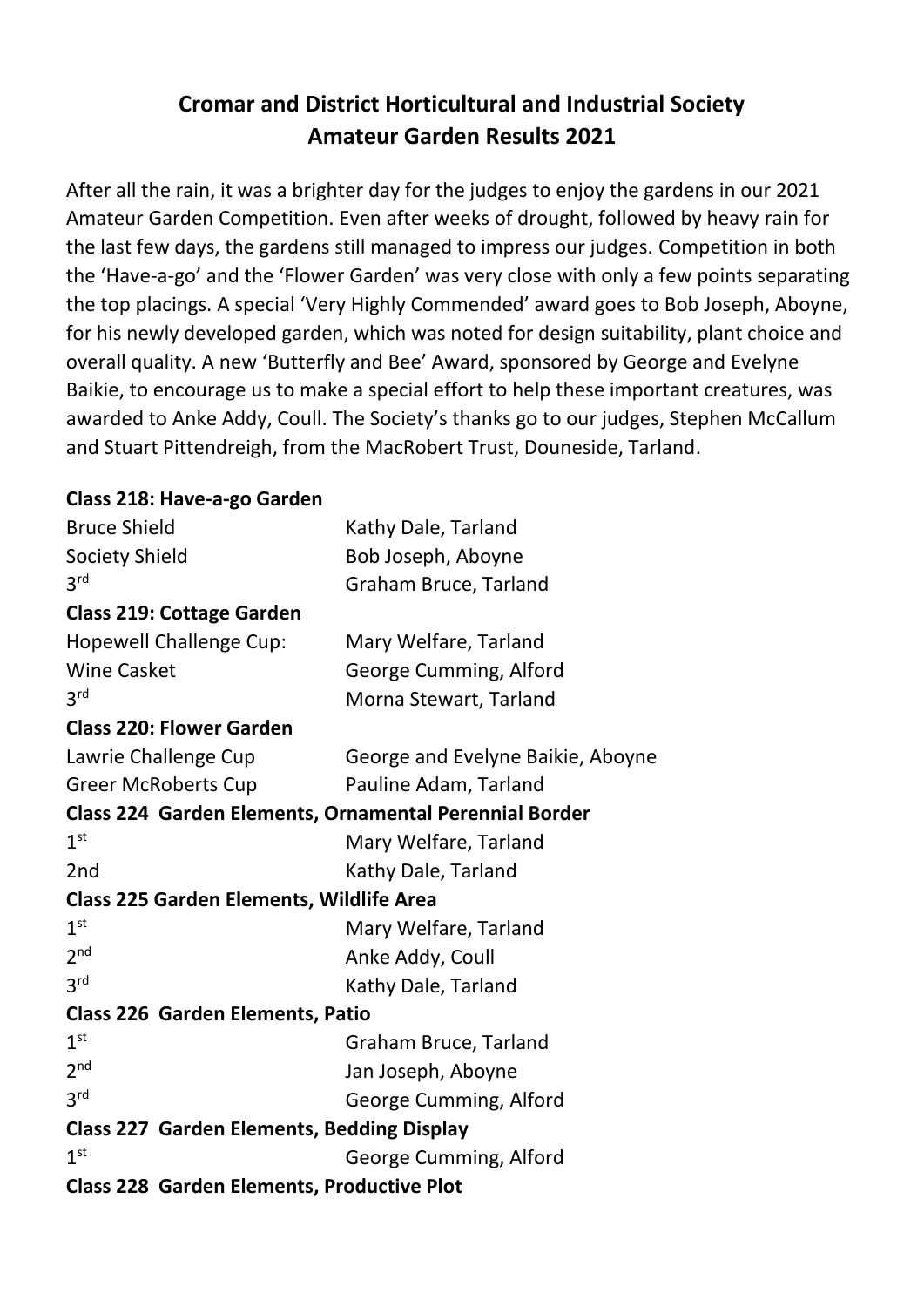## **Cromar and District Horticultural and Industrial Society Amateur Garden Results 2021**

After all the rain, it was a brighter day for the judges to enjoy the gardens in our 2021 Amateur Garden Competition. Even after weeks of drought, followed by heavy rain for the last few days, the gardens still managed to impress our judges. Competition in both the 'Have-a-go' and the 'Flower Garden' was very close with only a few points separating the top placings. A special 'Very Highly Commended' award goes to Bob Joseph, Aboyne, for his newly developed garden, which was noted for design suitability, plant choice and overall quality. A new 'Butterfly and Bee' Award, sponsored by George and Evelyne Baikie, to encourage us to make a special effort to help these important creatures, was awarded to Anke Addy, Coull. The Society's thanks go to our judges, Stephen McCallum and Stuart Pittendreigh, from the MacRobert Trust, Douneside, Tarland.

## **Class 218: Have-a-go Garden**

| <b>Bruce Shield</b>                               | Kathy Dale, Tarland                                    |
|---------------------------------------------------|--------------------------------------------------------|
| <b>Society Shield</b>                             | Bob Joseph, Aboyne                                     |
| 3 <sup>rd</sup>                                   | Graham Bruce, Tarland                                  |
| <b>Class 219: Cottage Garden</b>                  |                                                        |
| <b>Hopewell Challenge Cup:</b>                    | Mary Welfare, Tarland                                  |
| <b>Wine Casket</b>                                | George Cumming, Alford                                 |
| 3 <sup>rd</sup>                                   | Morna Stewart, Tarland                                 |
| <b>Class 220: Flower Garden</b>                   |                                                        |
| Lawrie Challenge Cup                              | George and Evelyne Baikie, Aboyne                      |
| <b>Greer McRoberts Cup</b>                        | Pauline Adam, Tarland                                  |
|                                                   | Class 224 Garden Elements, Ornamental Perennial Border |
| 1 <sup>st</sup>                                   | Mary Welfare, Tarland                                  |
| 2nd                                               | Kathy Dale, Tarland                                    |
| <b>Class 225 Garden Elements, Wildlife Area</b>   |                                                        |
| 1 <sup>st</sup>                                   | Mary Welfare, Tarland                                  |
| 2 <sup>nd</sup>                                   | Anke Addy, Coull                                       |
| 3 <sup>rd</sup>                                   | Kathy Dale, Tarland                                    |
| <b>Class 226 Garden Elements, Patio</b>           |                                                        |
| 1 <sup>st</sup>                                   | Graham Bruce, Tarland                                  |
| 2 <sub>nd</sub>                                   | Jan Joseph, Aboyne                                     |
| 3 <sup>rd</sup>                                   | George Cumming, Alford                                 |
| <b>Class 227 Garden Elements, Bedding Display</b> |                                                        |
| 1 <sup>st</sup>                                   | George Cumming, Alford                                 |
| <b>Class 228 Garden Elements, Productive Plot</b> |                                                        |